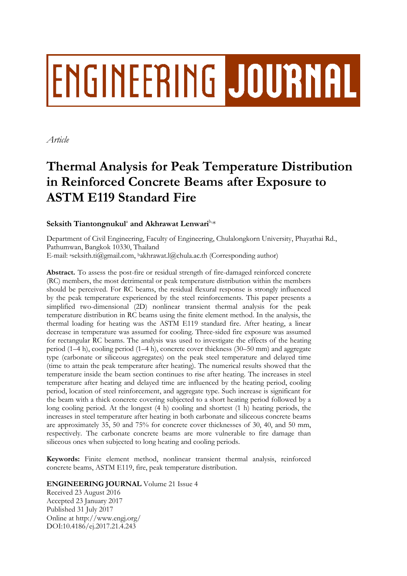# ENGINEERING JOURNAL

*Article*

# **Thermal Analysis for Peak Temperature Distribution in Reinforced Concrete Beams after Exposure to ASTM E119 Standard Fire**

## Seksith Tiantongnukul<sup>a</sup> and Akhrawat Lenwari<sup>b,\*</sup>

Department of Civil Engineering, Faculty of Engineering, Chulalongkorn University, Phayathai Rd., Pathumwan, Bangkok 10330, Thailand E-mail: <sup>a</sup>seksith.ti@gmail.com, <sup>b</sup>akhrawat.l@chula.ac.th (Corresponding author)

**Abstract.** To assess the post-fire or residual strength of fire-damaged reinforced concrete (RC) members, the most detrimental or peak temperature distribution within the members should be perceived. For RC beams, the residual flexural response is strongly influenced by the peak temperature experienced by the steel reinforcements. This paper presents a simplified two-dimensional (2D) nonlinear transient thermal analysis for the peak temperature distribution in RC beams using the finite element method. In the analysis, the thermal loading for heating was the ASTM E119 standard fire. After heating, a linear decrease in temperature was assumed for cooling. Three-sided fire exposure was assumed for rectangular RC beams. The analysis was used to investigate the effects of the heating period (1–4 h), cooling period (1–4 h), concrete cover thickness (30–50 mm) and aggregate type (carbonate or siliceous aggregates) on the peak steel temperature and delayed time (time to attain the peak temperature after heating). The numerical results showed that the temperature inside the beam section continues to rise after heating. The increases in steel temperature after heating and delayed time are influenced by the heating period, cooling period, location of steel reinforcement, and aggregate type. Such increase is significant for the beam with a thick concrete covering subjected to a short heating period followed by a long cooling period. At the longest (4 h) cooling and shortest (1 h) heating periods, the increases in steel temperature after heating in both carbonate and siliceous concrete beams are approximately 35, 50 and 75% for concrete cover thicknesses of 30, 40, and 50 mm, respectively. The carbonate concrete beams are more vulnerable to fire damage than siliceous ones when subjected to long heating and cooling periods.

**Keywords:** Finite element method, nonlinear transient thermal analysis, reinforced concrete beams, ASTM E119, fire, peak temperature distribution.

### **ENGINEERING JOURNAL** Volume 21 Issue 4

Received 23 August 2016 Accepted 23 January 2017 Published 31 July 2017 Online at http://www.engj.org/ DOI:10.4186/ej.2017.21.4.243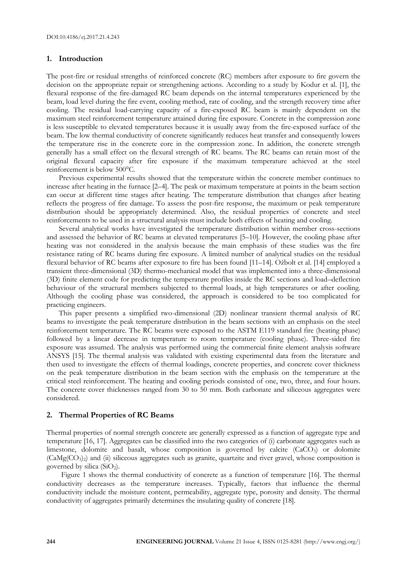#### **1. Introduction**

The post-fire or residual strengths of reinforced concrete (RC) members after exposure to fire govern the decision on the appropriate repair or strengthening actions. According to a study by Kodur et al. [1], the flexural response of the fire-damaged RC beam depends on the internal temperatures experienced by the beam, load level during the fire event, cooling method, rate of cooling, and the strength recovery time after cooling. The residual load-carrying capacity of a fire-exposed RC beam is mainly dependent on the maximum steel reinforcement temperature attained during fire exposure. Concrete in the compression zone is less susceptible to elevated temperatures because it is usually away from the fire-exposed surface of the beam. The low thermal conductivity of concrete significantly reduces heat transfer and consequently lowers the temperature rise in the concrete core in the compression zone. In addition, the concrete strength generally has a small effect on the flexural strength of RC beams. The RC beams can retain most of the original flexural capacity after fire exposure if the maximum temperature achieved at the steel reinforcement is below 500°C.

Previous experimental results showed that the temperature within the concrete member continues to increase after heating in the furnace [2–4]. The peak or maximum temperature at points in the beam section can occur at different time stages after heating. The temperature distribution that changes after heating reflects the progress of fire damage. To assess the post-fire response, the maximum or peak temperature distribution should be appropriately determined. Also, the residual properties of concrete and steel reinforcements to be used in a structural analysis must include both effects of heating and cooling.

Several analytical works have investigated the temperature distribution within member cross-sections and assessed the behavior of RC beams at elevated temperatures [5–10]. However, the cooling phase after heating was not considered in the analysis because the main emphasis of these studies was the fire resistance rating of RC beams during fire exposure. A limited number of analytical studies on the residual flexural behavior of RC beams after exposure to fire has been found [11–14]. Ožbolt et al. [14] employed a transient three-dimensional (3D) thermo-mechanical model that was implemented into a three-dimensional (3D) finite element code for predicting the temperature profiles inside the RC sections and load–deflection behaviour of the structural members subjected to thermal loads, at high temperatures or after cooling. Although the cooling phase was considered, the approach is considered to be too complicated for practicing engineers.

This paper presents a simplified two-dimensional (2D) nonlinear transient thermal analysis of RC beams to investigate the peak temperature distribution in the beam sections with an emphasis on the steel reinforcement temperature. The RC beams were exposed to the ASTM E119 standard fire (heating phase) followed by a linear decrease in temperature to room temperature (cooling phase). Three-sided fire exposure was assumed. The analysis was performed using the commercial finite element analysis software ANSYS [15]. The thermal analysis was validated with existing experimental data from the literature and then used to investigate the effects of thermal loadings, concrete properties, and concrete cover thickness on the peak temperature distribution in the beam section with the emphasis on the temperature at the critical steel reinforcement. The heating and cooling periods consisted of one, two, three, and four hours. The concrete cover thicknesses ranged from 30 to 50 mm. Both carbonate and siliceous aggregates were considered.

#### **2. Thermal Properties of RC Beams**

Thermal properties of normal strength concrete are generally expressed as a function of aggregate type and temperature [16, 17]. Aggregates can be classified into the two categories of (i) carbonate aggregates such as limestone, dolomite and basalt, whose composition is governed by calcite (CaCO3) or dolomite (CaMg(CO3)2) and (ii) siliceous aggregates such as granite, quartzite and river gravel, whose composition is governed by silica  $(SiO<sub>2</sub>)$ .

Figure 1 shows the thermal conductivity of concrete as a function of temperature [16]. The thermal conductivity decreases as the temperature increases. Typically, factors that influence the thermal conductivity include the moisture content, permeability, aggregate type, porosity and density. The thermal conductivity of aggregates primarily determines the insulating quality of concrete [18].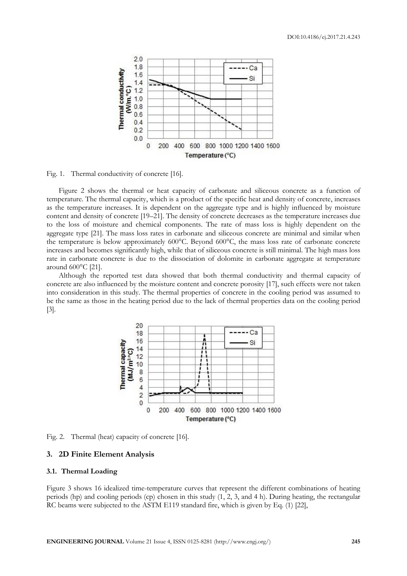

Fig. 1. Thermal conductivity of concrete [16].

Figure 2 shows the thermal or heat capacity of carbonate and siliceous concrete as a function of temperature. The thermal capacity, which is a product of the specific heat and density of concrete, increases as the temperature increases. It is dependent on the aggregate type and is highly influenced by moisture content and density of concrete [19–21]. The density of concrete decreases as the temperature increases due to the loss of moisture and chemical components. The rate of mass loss is highly dependent on the aggregate type [21]. The mass loss rates in carbonate and siliceous concrete are minimal and similar when the temperature is below approximately 600°C. Beyond 600°C, the mass loss rate of carbonate concrete increases and becomes significantly high, while that of siliceous concrete is still minimal. The high mass loss rate in carbonate concrete is due to the dissociation of dolomite in carbonate aggregate at temperature around 600°C [21].

Although the reported test data showed that both thermal conductivity and thermal capacity of concrete are also influenced by the moisture content and concrete porosity [17], such effects were not taken into consideration in this study. The thermal properties of concrete in the cooling period was assumed to be the same as those in the heating period due to the lack of thermal properties data on the cooling period [3].



Fig. 2. Thermal (heat) capacity of concrete [16].

#### **3. 2D Finite Element Analysis**

#### **3.1. Thermal Loading**

Figure 3 shows 16 idealized time-temperature curves that represent the different combinations of heating periods (hp) and cooling periods (cp) chosen in this study (1, 2, 3, and 4 h). During heating, the rectangular RC beams were subjected to the ASTM E119 standard fire, which is given by Eq. (1) [22],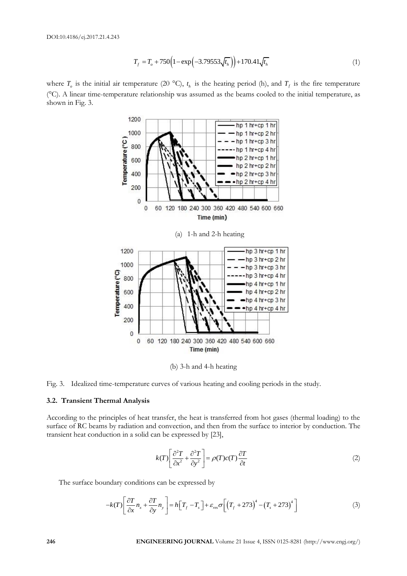$$
T_f = T_o + 750\left(1 - \exp\left(-3.79553\sqrt{t_h}\right)\right) + 170.41\sqrt{t_h}
$$
\n(1)

where  $T_o$  is the initial air temperature (20 °C),  $t_h$  is the heating period (h), and  $T_f$  is the fire temperature (°C). A linear time-temperature relationship was assumed as the beams cooled to the initial temperature, as shown in Fig. 3.



(b) 3-h and 4-h heating



#### **3.2. Transient Thermal Analysis**

According to the principles of heat transfer, the heat is transferred from hot gases (thermal loading) to the surface of RC beams by radiation and convection, and then from the surface to interior by conduction. The transient heat conduction in a solid can be expressed by [23],

$$
k(T)\left[\frac{\partial^2 T}{\partial x^2} + \frac{\partial^2 T}{\partial y^2}\right] = \rho(T)c(T)\frac{\partial T}{\partial t}
$$
\n(2)

The surface boundary conditions can be expressed by  
\n
$$
-k(T)\left[\frac{\partial T}{\partial x}n_x + \frac{\partial T}{\partial y}n_y\right] = h\left[T_f - T_s\right] + \varepsilon_{res}\sigma\left[\left(T_f + 273\right)^4 - \left(T_s + 273\right)^4\right]
$$
\n(3)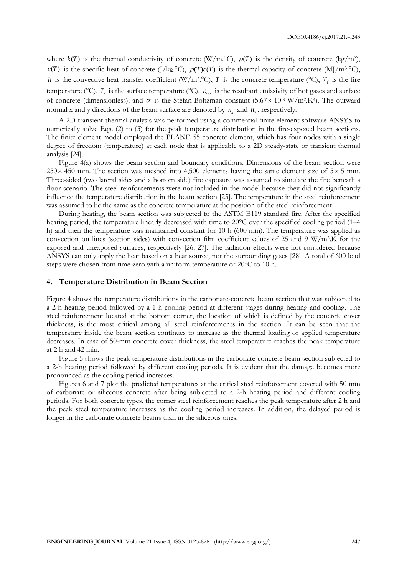where  $k(T)$  is the thermal conductivity of concrete (W/m.°C),  $\rho(T)$  is the density of concrete (kg/m<sup>3</sup>),  $c(T)$  is the specific heat of concrete (J/kg.<sup>o</sup>C),  $\rho(T)c(T)$  is the thermal capacity of concrete (MJ/m<sup>3.o</sup>C), h is the convective heat transfer coefficient (W/m<sup>2</sup>.<sup>o</sup>C), T is the concrete temperature (°C),  $T_f$  is the fire temperature ( $\degree$ C),  $T_s$  is the surface temperature ( $\degree$ C),  $\varepsilon_{res}$  is the resultant emissivity of hot gases and surface of concrete (dimensionless), and  $\sigma$  is the Stefan-Boltzman constant (5.67 × 10<sup>-8</sup> W/m<sup>2</sup>.K<sup>4</sup>). The outward normal x and y directions of the beam surface are denoted by  $n_x$  and  $n_y$ , respectively.

A 2D transient thermal analysis was performed using a commercial finite element software ANSYS to numerically solve Eqs. (2) to (3) for the peak temperature distribution in the fire-exposed beam sections. The finite element model employed the PLANE 55 concrete element, which has four nodes with a single degree of freedom (temperature) at each node that is applicable to a 2D steady-state or transient thermal analysis [24].

Figure 4(a) shows the beam section and boundary conditions. Dimensions of the beam section were  $250 \times 450$  mm. The section was meshed into 4,500 elements having the same element size of  $5 \times 5$  mm. Three-sided (two lateral sides and a bottom side) fire exposure was assumed to simulate the fire beneath a floor scenario. The steel reinforcements were not included in the model because they did not significantly influence the temperature distribution in the beam section [25]. The temperature in the steel reinforcement was assumed to be the same as the concrete temperature at the position of the steel reinforcement.

During heating, the beam section was subjected to the ASTM E119 standard fire. After the specified heating period, the temperature linearly decreased with time to 20<sup>o</sup>C over the specified cooling period (1–4 h) and then the temperature was maintained constant for 10 h (600 min). The temperature was applied as convection on lines (section sides) with convection film coefficient values of 25 and 9 W/m<sup>2</sup> .K for the exposed and unexposed surfaces, respectively [26, 27]. The radiation effects were not considered because ANSYS can only apply the heat based on a heat source, not the surrounding gases [28]. A total of 600 load steps were chosen from time zero with a uniform temperature of 20°C to 10 h.

#### **4. Temperature Distribution in Beam Section**

Figure 4 shows the temperature distributions in the carbonate-concrete beam section that was subjected to a 2-h heating period followed by a 1-h cooling period at different stages during heating and cooling. The steel reinforcement located at the bottom corner, the location of which is defined by the concrete cover thickness, is the most critical among all steel reinforcements in the section. It can be seen that the temperature inside the beam section continues to increase as the thermal loading or applied temperature decreases. In case of 50-mm concrete cover thickness, the steel temperature reaches the peak temperature at 2 h and 42 min.

Figure 5 shows the peak temperature distributions in the carbonate-concrete beam section subjected to a 2-h heating period followed by different cooling periods. It is evident that the damage becomes more pronounced as the cooling period increases.

Figures 6 and 7 plot the predicted temperatures at the critical steel reinforcement covered with 50 mm of carbonate or siliceous concrete after being subjected to a 2-h heating period and different cooling periods. For both concrete types, the corner steel reinforcement reaches the peak temperature after 2 h and the peak steel temperature increases as the cooling period increases. In addition, the delayed period is longer in the carbonate concrete beams than in the siliceous ones.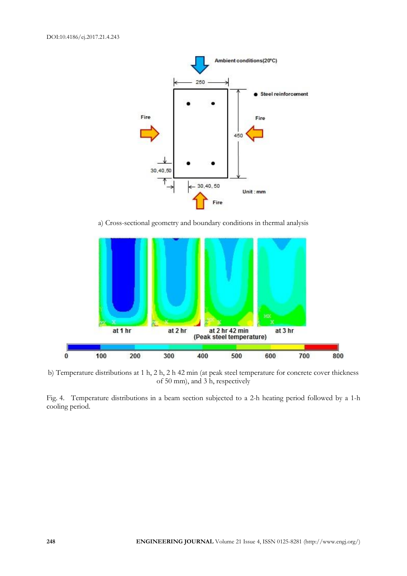

a) Cross-sectional geometry and boundary conditions in thermal analysis



b) Temperature distributions at 1 h, 2 h, 2 h 42 min (at peak steel temperature for concrete cover thickness of 50 mm), and 3 h, respectively

Fig. 4. Temperature distributions in a beam section subjected to a 2-h heating period followed by a 1-h cooling period.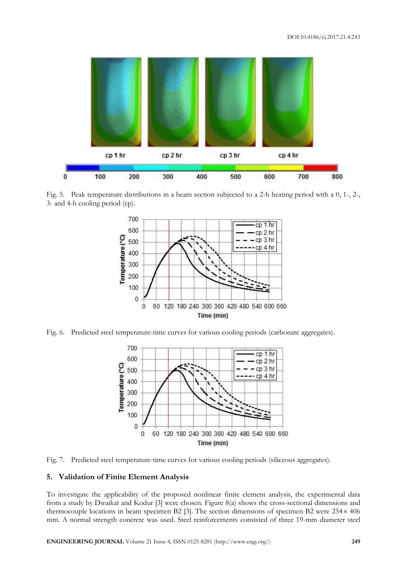

Fig. 5. Peak temperature distributions in a beam section subjected to a 2-h heating period with a 0, 1-, 2-, 3- and 4-h cooling period (cp).



Fig. 6. Predicted steel temperature-time curves for various cooling periods (carbonate aggregates).





#### **5. Validation of Finite Element Analysis**

To investigate the applicability of the proposed nonlinear finite element analysis, the experimental data from a study by Dwaikat and Kodur [3] were chosen. Figure 8(a) shows the cross-sectional dimensions and thermocouple locations in beam specimen B2 [3]. The section dimensions of specimen B2 were  $254 \times 406$ mm. A normal strength concrete was used. Steel reinforcements consisted of three 19-mm diameter steel

**ENGINEERING JOURNAL** Volume 21 Issue 4, ISSN 0125-8281 (http://www.engj.org/) **249**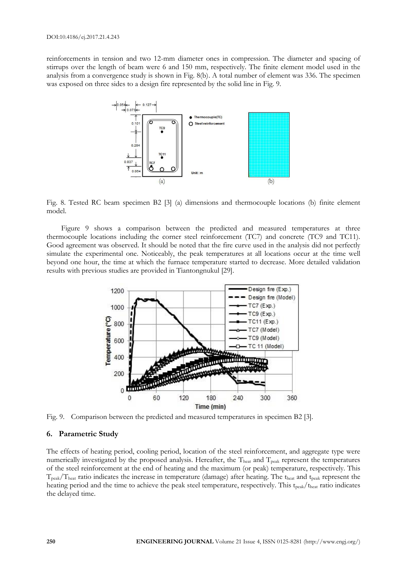reinforcements in tension and two 12-mm diameter ones in compression. The diameter and spacing of stirrups over the length of beam were 6 and 150 mm, respectively. The finite element model used in the analysis from a convergence study is shown in Fig. 8(b). A total number of element was 336. The specimen was exposed on three sides to a design fire represented by the solid line in Fig. 9.



Fig. 8. Tested RC beam specimen B2 [3] (a) dimensions and thermocouple locations (b) finite element model.

Figure 9 shows a comparison between the predicted and measured temperatures at three thermocouple locations including the corner steel reinforcement (TC7) and concrete (TC9 and TC11). Good agreement was observed. It should be noted that the fire curve used in the analysis did not perfectly simulate the experimental one. Noticeably, the peak temperatures at all locations occur at the time well beyond one hour, the time at which the furnace temperature started to decrease. More detailed validation results with previous studies are provided in Tiantongnukul [29].



Fig. 9. Comparison between the predicted and measured temperatures in specimen B2 [3].

#### **6. Parametric Study**

The effects of heating period, cooling period, location of the steel reinforcement, and aggregate type were numerically investigated by the proposed analysis. Hereafter, the Theat and T<sub>peak</sub> represent the temperatures of the steel reinforcement at the end of heating and the maximum (or peak) temperature, respectively. This  $T_{\text{peak}}/T_{\text{heat}}$  ratio indicates the increase in temperature (damage) after heating. The theat and t<sub>peak</sub> represent the heating period and the time to achieve the peak steel temperature, respectively. This t<sub>peak</sub>/t<sub>heat</sub> ratio indicates the delayed time.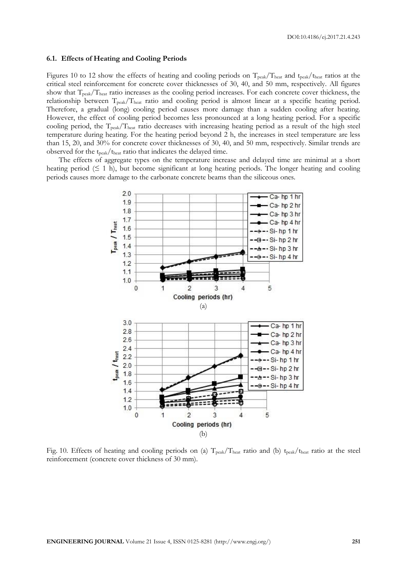#### **6.1. Effects of Heating and Cooling Periods**

Figures 10 to 12 show the effects of heating and cooling periods on  $T_{peak}/T_{heat}$  and  $t_{peak}/t_{heat}$  ratios at the critical steel reinforcement for concrete cover thicknesses of 30, 40, and 50 mm, respectively. All figures show that  $T_{\text{peak}}/T_{\text{heat}}$  ratio increases as the cooling period increases. For each concrete cover thickness, the relationship between Tpeak/Theat ratio and cooling period is almost linear at a specific heating period. Therefore, a gradual (long) cooling period causes more damage than a sudden cooling after heating. However, the effect of cooling period becomes less pronounced at a long heating period. For a specific cooling period, the  $T_{peak}/T_{heat}$  ratio decreases with increasing heating period as a result of the high steel temperature during heating. For the heating period beyond 2 h, the increases in steel temperature are less than 15, 20, and 30% for concrete cover thicknesses of 30, 40, and 50 mm, respectively. Similar trends are observed for the tpeak/theat ratio that indicates the delayed time.

The effects of aggregate types on the temperature increase and delayed time are minimal at a short heating period  $(≤ 1 h)$ , but become significant at long heating periods. The longer heating and cooling periods causes more damage to the carbonate concrete beams than the siliceous ones.



Fig. 10. Effects of heating and cooling periods on (a)  $T_{peak}/T_{heat}$  ratio and (b)  $t_{peak}/t_{heat}$  ratio at the steel reinforcement (concrete cover thickness of 30 mm).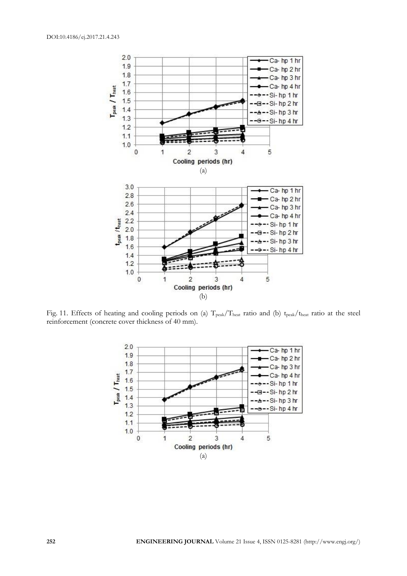

Fig. 11. Effects of heating and cooling periods on (a)  $T_{peak}/T_{heat}$  ratio and (b) t<sub>peak</sub>/t<sub>heat</sub> ratio at the steel reinforcement (concrete cover thickness of 40 mm).

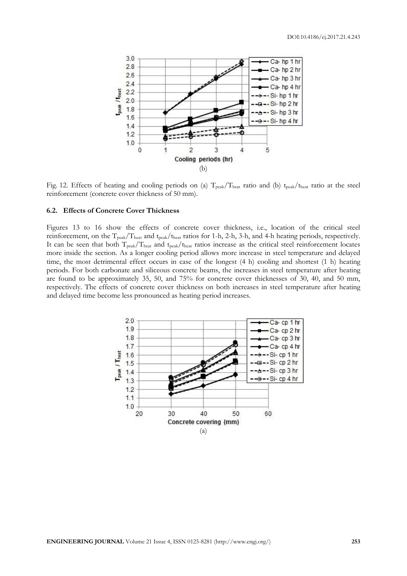

Fig. 12. Effects of heating and cooling periods on (a)  $T_{peak}/T_{heat}$  ratio and (b) t<sub>peak</sub>/t<sub>heat</sub> ratio at the steel reinforcement (concrete cover thickness of 50 mm).

#### **6.2. Effects of Concrete Cover Thickness**

Figures 13 to 16 show the effects of concrete cover thickness, i.e., location of the critical steel reinforcement, on the T<sub>peak</sub>/T<sub>heat</sub> and t<sub>peak</sub>/t<sub>heat</sub> ratios for 1-h, 2-h, 3-h, and 4-h heating periods, respectively. It can be seen that both  $T_{peak}/T_{heat}$  and  $t_{peak}/t_{heat}$  ratios increase as the critical steel reinforcement locates more inside the section. As a longer cooling period allows more increase in steel temperature and delayed time, the most detrimental effect occurs in case of the longest (4 h) cooling and shortest (1 h) heating periods. For both carbonate and siliceous concrete beams, the increases in steel temperature after heating are found to be approximately 35, 50, and 75% for concrete cover thicknesses of 30, 40, and 50 mm, respectively. The effects of concrete cover thickness on both increases in steel temperature after heating and delayed time become less pronounced as heating period increases.

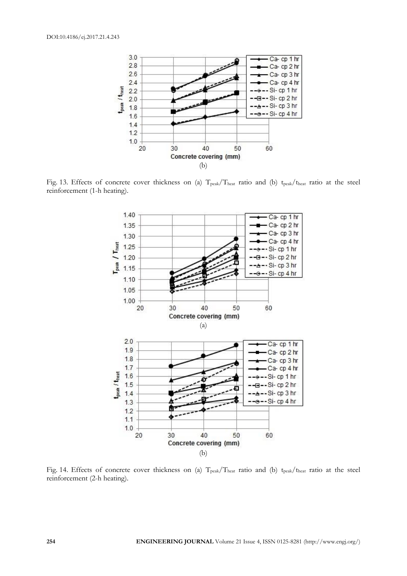

Fig. 13. Effects of concrete cover thickness on (a) T<sub>peak</sub>/T<sub>heat</sub> ratio and (b) t<sub>peak</sub>/t<sub>heat</sub> ratio at the steel reinforcement (1-h heating).



Fig. 14. Effects of concrete cover thickness on (a)  $T_{peak}/T_{heat}$  ratio and (b)  $t_{peak}/t_{heat}$  ratio at the steel reinforcement (2-h heating).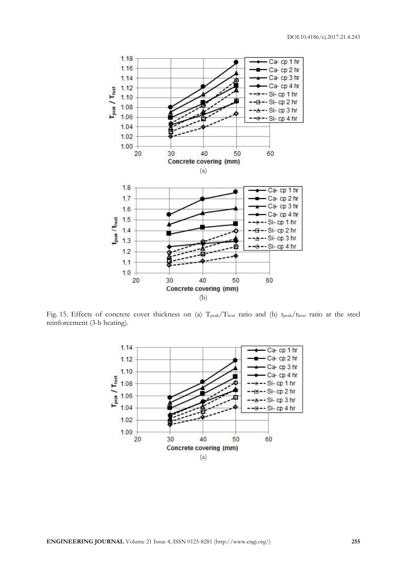

Fig. 15. Effects of concrete cover thickness on (a) T<sub>peak</sub>/T<sub>heat</sub> ratio and (b) t<sub>peak</sub>/t<sub>heat</sub> ratio at the steel reinforcement (3-h heating).

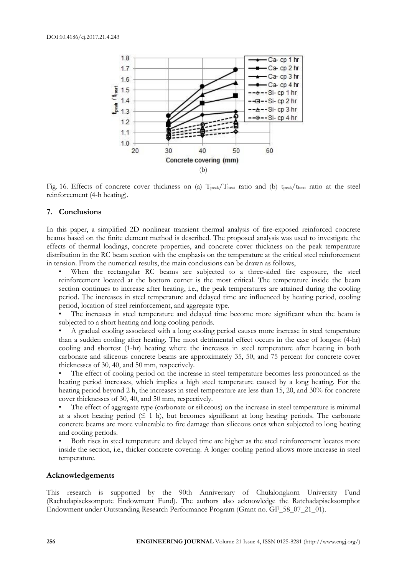

Fig. 16. Effects of concrete cover thickness on (a)  $T_{peak}/T_{heat}$  ratio and (b) t<sub>peak</sub>/t<sub>heat</sub> ratio at the steel reinforcement (4-h heating).

#### **7. Conclusions**

In this paper, a simplified 2D nonlinear transient thermal analysis of fire-exposed reinforced concrete beams based on the finite element method is described. The proposed analysis was used to investigate the effects of thermal loadings, concrete properties, and concrete cover thickness on the peak temperature distribution in the RC beam section with the emphasis on the temperature at the critical steel reinforcement in tension. From the numerical results, the main conclusions can be drawn as follows,

When the rectangular RC beams are subjected to a three-sided fire exposure, the steel reinforcement located at the bottom corner is the most critical. The temperature inside the beam section continues to increase after heating, i.e., the peak temperatures are attained during the cooling period. The increases in steel temperature and delayed time are influenced by heating period, cooling period, location of steel reinforcement, and aggregate type.

The increases in steel temperature and delayed time become more significant when the beam is subjected to a short heating and long cooling periods.

A gradual cooling associated with a long cooling period causes more increase in steel temperature than a sudden cooling after heating. The most detrimental effect occurs in the case of longest (4-hr) cooling and shortest (1-hr) heating where the increases in steel temperature after heating in both carbonate and siliceous concrete beams are approximately 35, 50, and 75 percent for concrete cover thicknesses of 30, 40, and 50 mm, respectively.

The effect of cooling period on the increase in steel temperature becomes less pronounced as the heating period increases, which implies a high steel temperature caused by a long heating. For the heating period beyond 2 h, the increases in steel temperature are less than 15, 20, and 30% for concrete cover thicknesses of 30, 40, and 50 mm, respectively.

The effect of aggregate type (carbonate or siliceous) on the increase in steel temperature is minimal at a short heating period ( $\leq 1$  h), but becomes significant at long heating periods. The carbonate concrete beams are more vulnerable to fire damage than siliceous ones when subjected to long heating and cooling periods.

Both rises in steel temperature and delayed time are higher as the steel reinforcement locates more inside the section, i.e., thicker concrete covering. A longer cooling period allows more increase in steel temperature.

#### **Acknowledgements**

This research is supported by the 90th Anniversary of Chulalongkorn University Fund (Rachadapiseksompote Endowment Fund). The authors also acknowledge the Ratchadapiseksomphot Endowment under Outstanding Research Performance Program (Grant no. GF\_58\_07\_21\_01).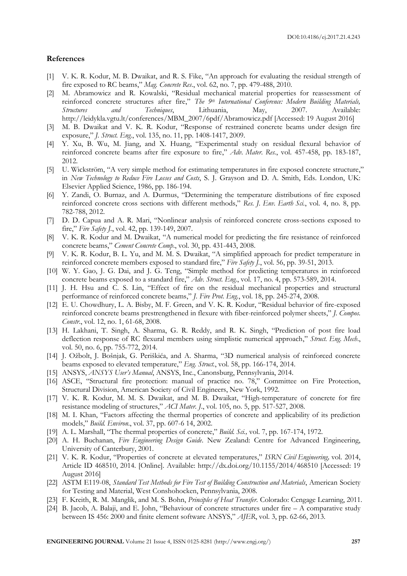#### **References**

- [1] V. K. R. Kodur, M. B. Dwaikat, and R. S. Fike, "An approach for evaluating the residual strength of fire exposed to RC beams," *Mag. Concrete Res*., vol. 62, no. 7, pp. 479-488, 2010.
- [2] M. Abramowicz and R. Kowalski, "Residual mechanical material properties for reassessment of reinforced concrete structures after fire," *The 9th International Conference: Modern Building Materials, Structures and Techniques*, Lithuania, May, 2007. Available: http://leidykla.vgtu.lt/conferences/MBM\_2007/6pdf/Abramowicz.pdf [Accessed: 19 August 2016]
- [3] M. B. Dwaikat and V. K. R. Kodur, "Response of restrained concrete beams under design fire exposure," *J. Struct. Eng.*, vol. 135, no. 11, pp. 1408-1417, 2009.
- [4] Y. Xu, B. Wu, M. Jiang, and X. Huang, "Experimental study on residual flexural behavior of reinforced concrete beams after fire exposure to fire," *Adv. Mater. Res.*, vol. 457-458, pp. 183-187, 2012.
- [5] U. Wickström, "A very simple method for estimating temperatures in fire exposed concrete structure," in *New Technology to Reduce Fire Losses and Costs*, S. J. Grayson and D. A. Smith, Eds. London, UK: Elsevier Applied Science, 1986, pp. 186-194.
- [6] Y. Zandi, O. Burnaz, and A. Durmus, "Determining the temperature distributions of fire exposed reinforced concrete cross sections with different methods," *Res. J. Env. Earth Sci.*, vol. 4, no. 8, pp. 782-788, 2012.
- [7] D. D. Capua and A. R. Mari, "Nonlinear analysis of reinforced concrete cross-sections exposed to fire," *Fire Safety J.*, vol. 42, pp. 139-149, 2007.
- [8] V. K. R. Kodur and M. Dwaikat, "A numerical model for predicting the fire resistance of reinforced concrete beams," *Cement Concrete Comp*., vol. 30, pp. 431-443, 2008.
- [9] V. K. R. Kodur, B. L. Yu, and M. M. S. Dwaikat, "A simplified approach for predict temperature in reinforced concrete members exposed to standard fire," *Fire Safety J.*, vol. 56, pp. 39-51, 2013.
- [10] W. Y. Gao, J. G. Dai, and J. G. Teng, "Simple method for predicting temperatures in reinforced concrete beams exposed to a standard fire," *Adv. Struct. Eng.*, vol. 17, no. 4, pp. 573-589, 2014.
- [11] J. H. Hsu and C. S. Lin, "Effect of fire on the residual mechanical properties and structural performance of reinforced concrete beams," *J. Fire Prot. Eng.*, vol. 18, pp. 245-274, 2008.
- [12] E. U. Chowdhury, L. A. Bisby, M. F. Green, and V. K. R. Kodur, "Residual behavior of fire-exposed reinforced concrete beams prestrengthened in flexure with fiber-reinforced polymer sheets," *J. Compos. Constr*., vol. 12, no. 1, 61-68, 2008.
- [13] H. Lakhani, T. Singh, A. Sharma, G. R. Reddy, and R. K. Singh, "Prediction of post fire load deflection response of RC flexural members using simplistic numerical approach," *Struct. Eng. Mech*., vol. 50, no. 6, pp. 755-772, 2014.
- [14] J. Ožbolt, J. Bošnjak, G. Periškića, and A. Sharma, "3D numerical analysis of reinforced concrete beams exposed to elevated temperature," *Eng. Struct.*, vol. 58, pp. 166-174, 2014.
- [15] ANSYS, *ANSYS User's Manual*, ANSYS, Inc., Canonsburg, Pennsylvania, 2014.
- [16] ASCE, "Structural fire protection: manual of practice no. 78," Committee on Fire Protection, Structural Division, American Society of Civil Engineers, New York, 1992.
- [17] V. K. R. Kodur, M. M. S. Dwaikat, and M. B. Dwaikat, "High-temperature of concrete for fire resistance modeling of structures," *ACI Mater. J*., vol. 105, no. 5, pp. 517-527, 2008.
- [18] M. I. Khan, "Factors affecting the thermal properties of concrete and applicability of its prediction models," *Build. Environ*., vol. 37, pp. 607-6 14, 2002.
- [19] A. L. Marshall, "The thermal properties of concrete," *Build. Sci.,* vol. 7, pp. 167-174, 1972.
- [20] A. H. Buchanan, *Fire Engineering Design Guide*. New Zealand: Centre for Advanced Engineering, University of Canterbury, 2001.
- [21] V. K. R. Kodur, "Properties of concrete at elevated temperatures," *ISRN Civil Engineering,* vol. 2014, Article ID 468510, 2014. [Online]. Available: http://dx.doi.org/10.1155/2014/468510 [Accessed: 19 August 2016]
- [22] ASTM E119-08, *Standard Test Methods for Fire Test of Building Construction and Materials*, American Society for Testing and Material, West Conshohocken, Pennsylvania, 2008.
- [23] F. Kreith, R. M. Manglik, and M. S. Bohn, *Principles of Heat Transfer*. Colorado: Cengage Learning, 2011.
- [24] B. Jacob, A. Balaji, and E. John, "Behaviour of concrete structures under fire A comparative study between IS 456: 2000 and finite element software ANSYS," *AJER*, vol. 3, pp. 62-66, 2013.